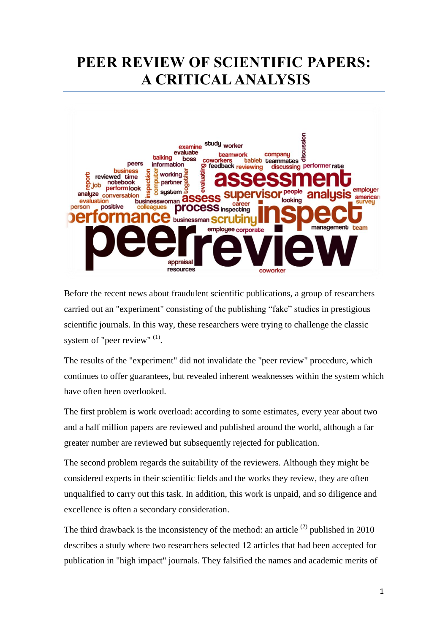## **PEER REVIEW OF SCIENTIFIC PAPERS: A CRITICAL ANALYSIS**



Before the recent news about fraudulent scientific publications, a group of researchers carried out an "experiment" consisting of the publishing "fake" studies in prestigious scientific journals. In this way, these researchers were trying to challenge the classic system of "peer review"  $(1)$ .

The results of the "experiment" did not invalidate the "peer review" procedure, which continues to offer guarantees, but revealed inherent weaknesses within the system which have often been overlooked.

The first problem is work overload: according to some estimates, every year about two and a half million papers are reviewed and published around the world, although a far greater number are reviewed but subsequently rejected for publication.

The second problem regards the suitability of the reviewers. Although they might be considered experts in their scientific fields and the works they review, they are often unqualified to carry out this task. In addition, this work is unpaid, and so diligence and excellence is often a secondary consideration.

The third drawback is the inconsistency of the method: an article  $(2)$  published in 2010 describes a study where two researchers selected 12 articles that had been accepted for publication in "high impact" journals. They falsified the names and academic merits of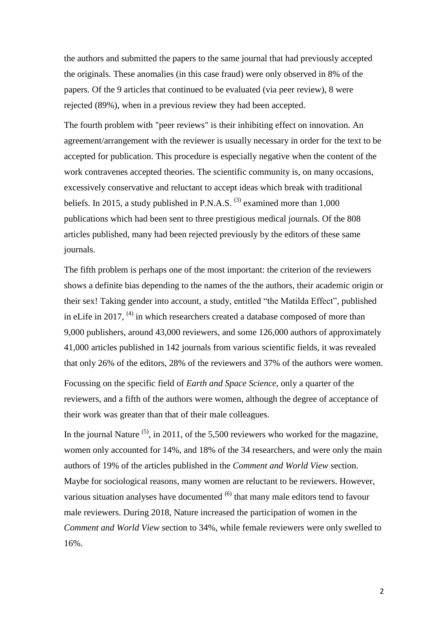the authors and submitted the papers to the same journal that had previously accepted the originals. These anomalies (in this case fraud) were only observed in 8% of the papers. Of the 9 articles that continued to be evaluated (via peer review), 8 were rejected (89%), when in a previous review they had been accepted.

The fourth problem with "peer reviews" is their inhibiting effect on innovation. An agreement/arrangement with the reviewer is usually necessary in order for the text to be accepted for publication. This procedure is especially negative when the content of the work contravenes accepted theories. The scientific community is, on many occasions, excessively conservative and reluctant to accept ideas which break with traditional beliefs. In 2015, a study published in P.N.A.S.  $^{(3)}$  examined more than 1,000 publications which had been sent to three prestigious medical journals. Of the 808 articles published, many had been rejected previously by the editors of these same journals.

The fifth problem is perhaps one of the most important: the criterion of the reviewers shows a definite bias depending to the names of the the authors, their academic origin or their sex! Taking gender into account, a study, entitled "the Matilda Effect", published in eLife in 2017,  $^{(4)}$  in which researchers created a database composed of more than 9,000 publishers, around 43,000 reviewers, and some 126,000 authors of approximately 41,000 articles published in 142 journals from various scientific fields, it was revealed that only 26% of the editors, 28% of the reviewers and 37% of the authors were women.

Focussing on the specific field of *Earth and Space Science*, only a quarter of the reviewers, and a fifth of the authors were women, although the degree of acceptance of their work was greater than that of their male colleagues.

In the journal Nature  $(5)$ , in 2011, of the 5,500 reviewers who worked for the magazine, women only accounted for 14%, and 18% of the 34 researchers, and were only the main authors of 19% of the articles published in the *Comment and World View* section. Maybe for sociological reasons, many women are reluctant to be reviewers. However, various situation analyses have documented <sup>(6)</sup> that many male editors tend to favour male reviewers. During 2018, Nature increased the participation of women in the *Comment and World View* section to 34%, while female reviewers were only swelled to 16%.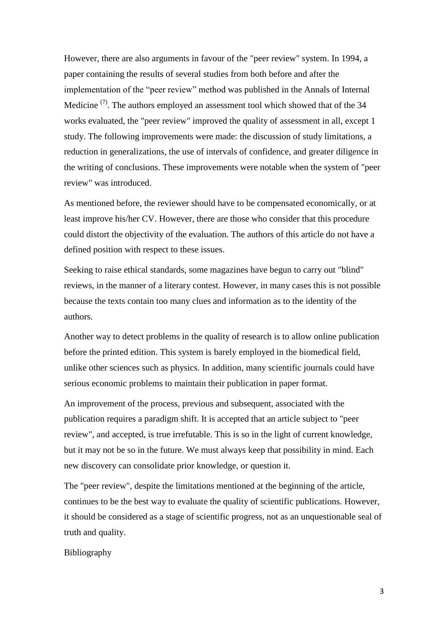However, there are also arguments in favour of the "peer review" system. In 1994, a paper containing the results of several studies from both before and after the implementation of the "peer review" method was published in the Annals of Internal Medicine  $(7)$ . The authors employed an assessment tool which showed that of the 34 works evaluated, the "peer review" improved the quality of assessment in all, except 1 study. The following improvements were made: the discussion of study limitations, a reduction in generalizations, the use of intervals of confidence, and greater diligence in the writing of conclusions. These improvements were notable when the system of "peer review" was introduced.

As mentioned before, the reviewer should have to be compensated economically, or at least improve his/her CV. However, there are those who consider that this procedure could distort the objectivity of the evaluation. The authors of this article do not have a defined position with respect to these issues.

Seeking to raise ethical standards, some magazines have begun to carry out "blind" reviews, in the manner of a literary contest. However, in many cases this is not possible because the texts contain too many clues and information as to the identity of the authors.

Another way to detect problems in the quality of research is to allow online publication before the printed edition. This system is barely employed in the biomedical field, unlike other sciences such as physics. In addition, many scientific journals could have serious economic problems to maintain their publication in paper format.

An improvement of the process, previous and subsequent, associated with the publication requires a paradigm shift. It is accepted that an article subject to "peer review", and accepted, is true irrefutable. This is so in the light of current knowledge, but it may not be so in the future. We must always keep that possibility in mind. Each new discovery can consolidate prior knowledge, or question it.

The "peer review", despite the limitations mentioned at the beginning of the article, continues to be the best way to evaluate the quality of scientific publications. However, it should be considered as a stage of scientific progress, not as an unquestionable seal of truth and quality.

Bibliography